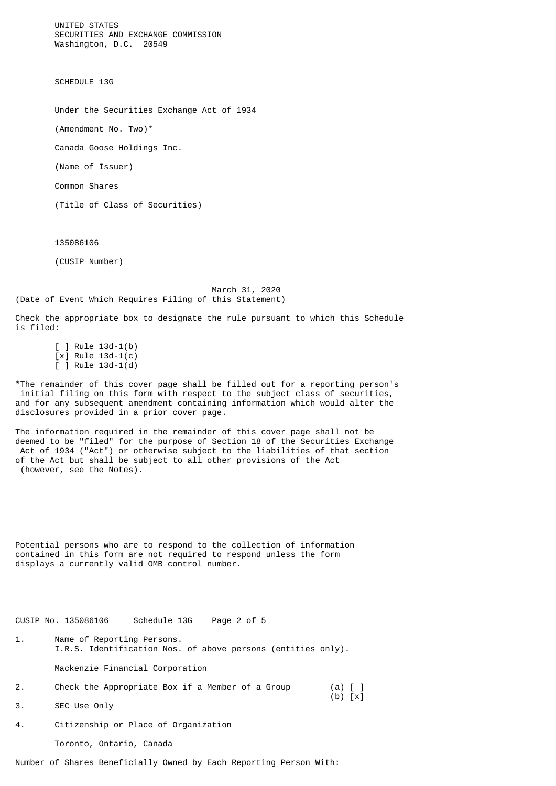UNITED STATES SECURITIES AND EXCHANGE COMMISSION Washington, D.C. 20549

SCHEDULE 13G

Under the Securities Exchange Act of 1934

(Amendment No. Two)\*

Canada Goose Holdings Inc.

(Name of Issuer)

Common Shares

(Title of Class of Securities)

135086106

(CUSIP Number)

 March 31, 2020 (Date of Event Which Requires Filing of this Statement)

Check the appropriate box to designate the rule pursuant to which this Schedule is filed:

 [ ] Rule 13d-1(b) [x] Rule 13d-1(c)  $\overline{$  ] Rule 13d-1 $\overline{$ d)

\*The remainder of this cover page shall be filled out for a reporting person's initial filing on this form with respect to the subject class of securities, and for any subsequent amendment containing information which would alter the disclosures provided in a prior cover page.

The information required in the remainder of this cover page shall not be deemed to be "filed" for the purpose of Section 18 of the Securities Exchange Act of 1934 ("Act") or otherwise subject to the liabilities of that section of the Act but shall be subject to all other provisions of the Act (however, see the Notes).

Potential persons who are to respond to the collection of information contained in this form are not required to respond unless the form displays a currently valid OMB control number.

CUSIP No. 135086106 Schedule 13G Page 2 of 5

- 1. Name of Reporting Persons. I.R.S. Identification Nos. of above persons (entities only). Mackenzie Financial Corporation
- 2. Check the Appropriate Box if a Member of a Group 2. Check the Appropriate Box if a Member of a Group (a) [ ]<br>3. SEC Use Only (b) [x]
- SEC Use Only
- 4. Citizenship or Place of Organization

Toronto, Ontario, Canada

Number of Shares Beneficially Owned by Each Reporting Person With: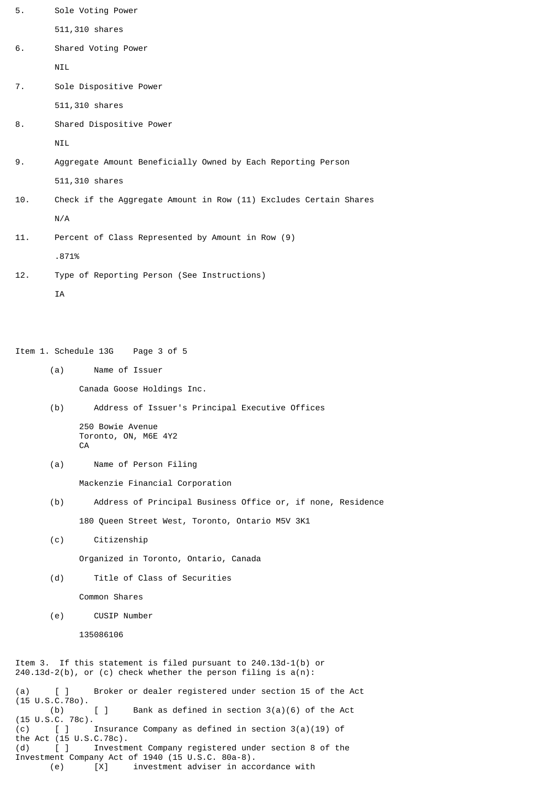| 5.  | Sole Voting Power                                                 |
|-----|-------------------------------------------------------------------|
|     | 511,310 shares                                                    |
| 6.  | Shared Voting Power                                               |
|     | NIL                                                               |
| 7.  | Sole Dispositive Power                                            |
|     | 511,310 shares                                                    |
| 8.  | Shared Dispositive Power                                          |
|     | <b>NIL</b>                                                        |
| 9.  | Aggregate Amount Beneficially Owned by Each Reporting Person      |
|     | 511,310 shares                                                    |
| 10. | Check if the Aggregate Amount in Row (11) Excludes Certain Shares |
|     | N/A                                                               |
| 11. | Percent of Class Represented by Amount in Row (9)                 |
|     | .871%                                                             |
| 12. | Type of Reporting Person (See Instructions)                       |

**TA** 

Item 1. Schedule 13G Page 3 of 5

(a) Name of Issuer

Canada Goose Holdings Inc.

(b) Address of Issuer's Principal Executive Offices

 250 Bowie Avenue Toronto, ON, M6E 4Y2 **CA** 

(a) Name of Person Filing

Mackenzie Financial Corporation

- (b) Address of Principal Business Office or, if none, Residence 180 Queen Street West, Toronto, Ontario M5V 3K1
- (c) Citizenship

Organized in Toronto, Ontario, Canada

(d) Title of Class of Securities

Common Shares

(e) CUSIP Number

135086106

Item 3. If this statement is filed pursuant to 240.13d-1(b) or 240.13d-2(b), or (c) check whether the person filing is a(n):

Broker or dealer registered under section 15 of the Act (a)  $[ ]$ <br>(15 U.S.C.780).<br>(b) [ ] Bank as defined in section 3(a)(6) of the Act  $(15 \tcup .S.C. 78c).$ <br>(c) [ ]  $(c)$  [ ] Insurance Company as defined in section 3(a)(19) of the Act (15 U.S.C.78c). (d) [ ] Investment Company registered under section 8 of the Investment Company Act of 1940 (15 U.S.C. 80a-8). (e) [X] investment adviser in accordance with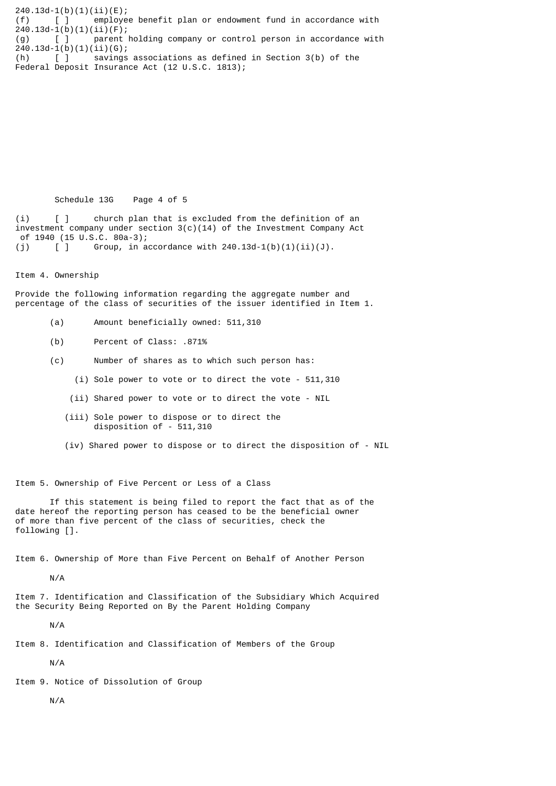240.13d-1(b)(1)(ii)(E); (f) [ ] employee benefit plan or endowment fund in accordance with  $240.13d-1(b)(1)(ii)(F);$ (g) [ ] parent holding company or control person in accordance with  $240.13d-1(b)(1)(ii)(G);$ <br>
(h) [ ] savings  $\overline{\phantom{a}}$  savings associations as defined in Section 3(b) of the Federal Deposit Insurance Act (12 U.S.C. 1813);

Schedule 13G Page 4 of 5

(i) [ ] church plan that is excluded from the definition of an investment company under section  $3(c)(14)$  of the Investment Company Act of 1940 (15 U.S.C. 80a-3); (j)  $[ ]$  Group, in accordance with 240.13d-1(b)(1)(ii)(J).

Item 4. Ownership

Provide the following information regarding the aggregate number and percentage of the class of securities of the issuer identified in Item 1.

- (a) Amount beneficially owned: 511,310
- (b) Percent of Class: .871%
- (c) Number of shares as to which such person has:
	- (i) Sole power to vote or to direct the vote 511,310
	- (ii) Shared power to vote or to direct the vote NIL
	- (iii) Sole power to dispose or to direct the disposition of - 511,310
	- (iv) Shared power to dispose or to direct the disposition of NIL

Item 5. Ownership of Five Percent or Less of a Class

 If this statement is being filed to report the fact that as of the date hereof the reporting person has ceased to be the beneficial owner of more than five percent of the class of securities, check the following [].

Item 6. Ownership of More than Five Percent on Behalf of Another Person

N/A

Item 7. Identification and Classification of the Subsidiary Which Acquired the Security Being Reported on By the Parent Holding Company

N/A

Item 8. Identification and Classification of Members of the Group

N/A

Item 9. Notice of Dissolution of Group

N/A